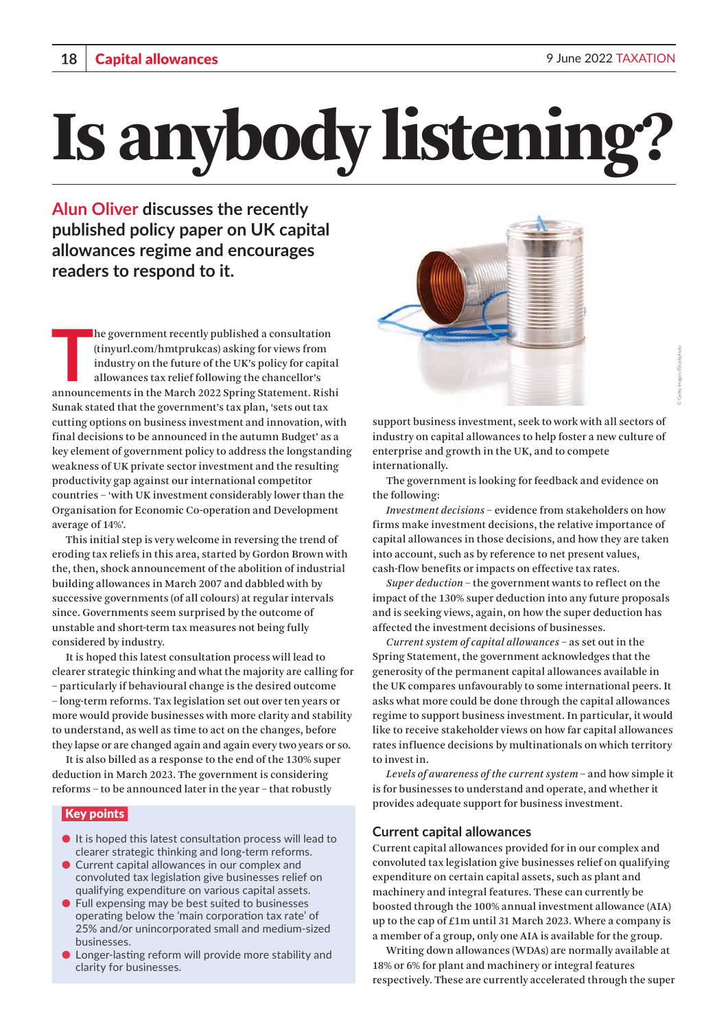# Is anybody listening

**Alun Oliver discusses the recently published policy paper on UK capital allowances regime and encourages readers to respond to it.** 

**THE SERVIE STATE IS A THEORY THE MARK SHOW THE MARK STATE IS A THOMAIN STATE IS A THOMAIN AND A THOMAIN AND A THOMAIN SURVEY A THOMAIN SUPPOSE AND MOVED A THOMAIN SUPPOSE AND MOVED A THOMAIN SUPPOSE A THOMAIN SUPPOSE A TH** he government recently published a consultation (tinyurl.com/hmtprukcas) asking for views from industry on the future of the UK's policy for capital allowances tax relief following the chancellor's Sunak stated that the government's tax plan, 'sets out tax cutting options on business investment and innovation, with final decisions to be announced in the autumn Budget' as a key element of government policy to address the longstanding weakness of UK private sector investment and the resulting productivity gap against our international competitor countries – 'with UK investment considerably lower than the Organisation for Economic Co-operation and Development average of 14%'.

This initial step is very welcome in reversing the trend of eroding tax reliefs in this area, started by Gordon Brown with the, then, shock announcement of the abolition of industrial building allowances in March 2007 and dabbled with by successive governments (of all colours) at regular intervals since. Governments seem surprised by the outcome of unstable and short-term tax measures not being fully considered by industry.

It is hoped this latest consultation process will lead to clearer strategic thinking and what the majority are calling for – particularly if behavioural change is the desired outcome – long-term reforms. Tax legislation set out over ten years or more would provide businesses with more clarity and stability to understand, as well as time to act on the changes, before they lapse or are changed again and again every two years or so.

It is also billed as a response to the end of the 130% super deduction in March 2023. The government is considering reforms – to be announced later in the year – that robustly

# Key points

- It is hoped this latest consultation process will lead to clearer strategic thinking and long-term reforms.
- Current capital allowances in our complex and convoluted tax legislation give businesses relief on qualifying expenditure on various capital assets.
- Full expensing may be best suited to businesses operating below the 'main corporation tax rate' of 25% and/or unincorporated small and medium-sized businesses.
- Longer-lasting reform will provide more stability and clarity for businesses.



support business investment, seek to work with all sectors of industry on capital allowances to help foster a new culture of enterprise and growth in the UK, and to compete internationally.

The government is looking for feedback and evidence on the following:

*Investment decisions* – evidence from stakeholders on how firms make investment decisions, the relative importance of capital allowances in those decisions, and how they are taken into account, such as by reference to net present values, cash-flow benefits or impacts on effective tax rates.

*Super deduction* – the government wants to reflect on the impact of the 130% super deduction into any future proposals and is seeking views, again, on how the super deduction has affected the investment decisions of businesses.

*Current system of capital allowances* – as set out in the Spring Statement, the government acknowledges that the generosity of the permanent capital allowances available in the UK compares unfavourably to some international peers. It asks what more could be done through the capital allowances regime to support business investment. In particular, it would like to receive stakeholder views on how far capital allowances rates influence decisions by multinationals on which territory to invest in.

*Levels of awareness of the current system –* and how simple it is for businesses to understand and operate, and whether it provides adequate support for business investment.

### **Current capital allowances**

Current capital allowances provided for in our complex and convoluted tax legislation give businesses relief on qualifying expenditure on certain capital assets, such as plant and machinery and integral features. These can currently be boosted through the 100% annual investment allowance (AIA) up to the cap of £1m until 31 March 2023. Where a company is a member of a group, only one AIA is available for the group.

Writing down allowances (WDAs) are normally available at 18% or 6% for plant and machinery or integral features respectively. These are currently accelerated through the super